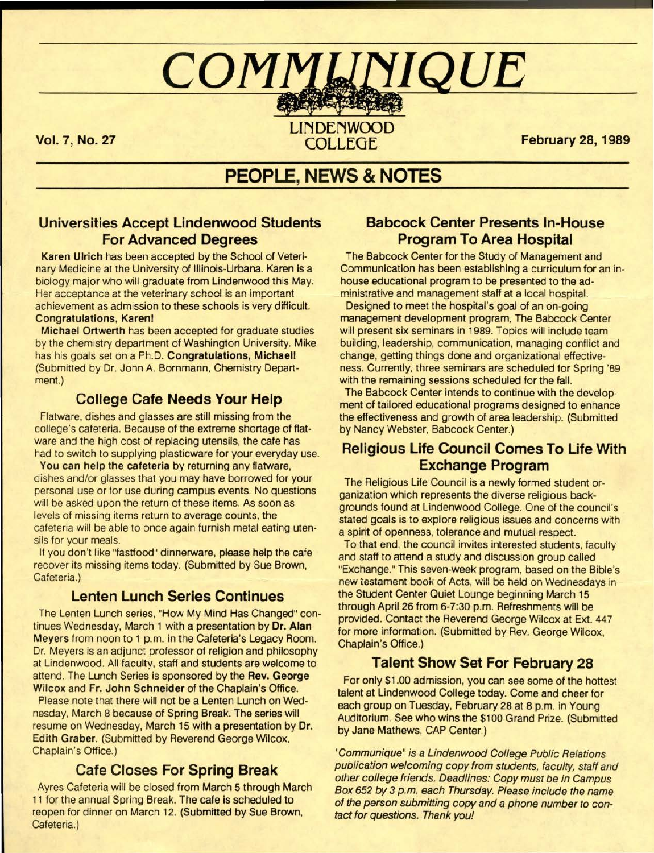# $\it{COMMIJNIOUE}$

Vol. 7, No. 27

LINDENWOOD<br>COLLEGE

February 28, 1989

## **PEOPLE, NEWS & NOTES**

#### Universities **Accept Lindenwood Students**  For **Advanced Degrees**

**Karen** Ulrich has been accepted by the School of Veterinary Medicine at the University of Illinois-Urbana. Karen is a biology major who will graduate from Lindenwood this **May.**  Her acceptance at the veterinary school is an important achievement as admission to these schools is very difficult. **Congratulations, Karenl** 

**Michael Ortwerth** has been accepted for graduate studies by the chemistry department of Washington University. Mike has his goals set on a Ph.D. **Congratulations, Michaeli**  (Submitted by Dr. John A. Bornmann, Chemistry Department.)

#### **College Cafe Needs Your Help**

Flatware, dishes and glasses are still missing from the college's cafeteria. Because of the extreme shortage of flatware and the high cost of replacing utensils, the cafe has had to switch to supplying plasticware for your everyday use.

You can help the cafeteria by returning any flatware, dishes and/or glasses that you may have borrowed for your personal use or for use during campus events. No questions will be asked upon the return of these items. As soon as levels of missing items return to average counts, the cafeteria will be able to once again furnish metal eating utensils for your meals.

If you don't like "fastfood" dinnerware, please help the cafe recover its missing items today. (Submitted by Sue Brown, Cafeteria.)

#### Lenten Lunch **Series Continues**

The Lenten Lunch series, "How My Mind Has Changed" continues Wednesday, March 1 with a presentation by **Dr. Alan Meyers** from noon to 1 p.m. in the Cafeteria's Legacy Room. Dr. Meyers is an adjunct professor of religion and philosophy at Lindenwood. All faculty, staff and students are welcome to attend. The Lunch Series is sponsored by the **Rev. George Wilcox** and Fr. John **Schneider** of the Chaplain's Office.

Please note that there will not be a Lenten Lunch on Wednesday, March 8 because of Spring Break. The series will resume on Wednesday, March 15 with a presentation by **Dr.**  Edith **Graber.** (Submitted by Reverend George Wilcox, Chaplain's Office.)

### **Cafe Closes For Spring Break**

Ayres Cafeteria will be closed from March 5 through March 11 for the annual Spring Break. The cafe is scheduled to reopen for dinner on March 12. (Submitted by Sue Brown, Cafeteria.)

#### **Babcock Center Presents In-House Program To Area Hospital**

The Babcock Center for the Study of Management and Communication has been establishing a curriculum for an inhouse educational program to be presented to the administrative and management staff at a local hospital.

Designed to meet the hospital's goal of an on-going management development program, The Babcock Center will present six seminars in 1989. Topics will include team building, leadership, communication, managing conflict and change, getting things done and organizational effectiveness. Currently, three seminars are scheduled for Spring '89 with the remaining sessions scheduled for the fall.

The Babcock Center intends to continue with the development of tailored educational programs designed to enhance the effectiveness and growth of area leadership. (Submitted by Nancy Webster, Babcock Center.)

#### **Religious Life Council Comes To Life With Exchange Program**

The Religious Life Council is a newly formed student organization which represents the diverse religious backgrounds found at Lindenwood College. One of the council's stated goals is to explore religious issues and concerns with a spirit of openness, tolerance and mutual respect.

To that end, the council invites interested students, faculty and staff to attend a study and discussion group called "Exchange." This seven-week program, based on the Bible's new testament book of Acts, will be held on Wednesdays in the Student Center Quiet Lounge beginning March 15 through April 26 from 6-7:30 p.m. Refreshments will be provided. Contact the Reverend George Wilcox at Ext. 447 for more information. (Submitted by Rev. George Wilcox, Chaplain's Office.)

#### **Talent Show Set For February 28**

For only \$1.00 admission, you can see some of the hottest talent at Lindenwood College today. Come and cheer for each group on Tuesday, February 28 at 8 p.m. in Young Auditorium. See who wins the \$100 Grand Prize. (Submitted by Jane Mathews, CAP Center.)

"Communique" is a Lindenwood College Public Relations publication welcoming copy from students, faculty, staff and other college friends. Deadlines: Copy must be in Campus Box 652 by 3 p.m. each Thursday. Please include the name of the person submitting copy and a phone number to contact for questions. Thank you!